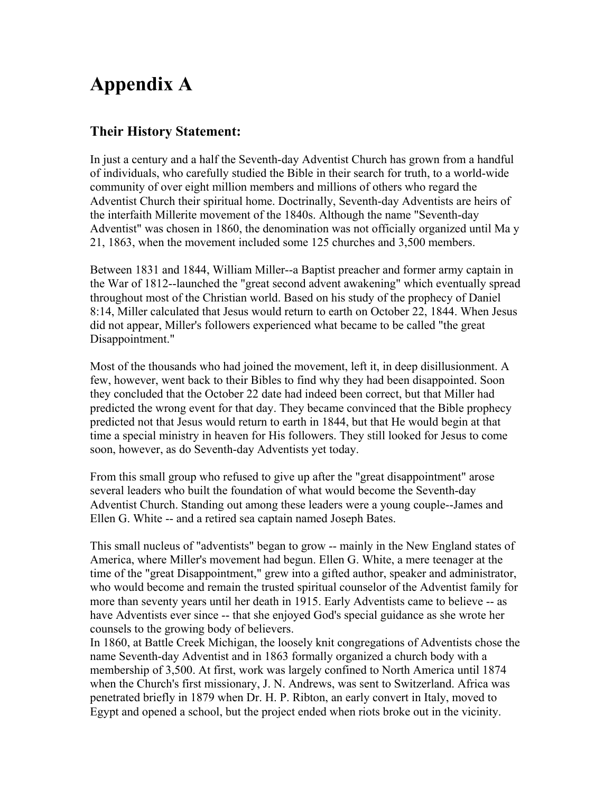# **Appendix A**

## **Their History Statement:**

In just a century and a half the Seventh-day Adventist Church has grown from a handful of individuals, who carefully studied the Bible in their search for truth, to a world-wide community of over eight million members and millions of others who regard the Adventist Church their spiritual home. Doctrinally, Seventh-day Adventists are heirs of the interfaith Millerite movement of the 1840s. Although the name "Seventh-day Adventist" was chosen in 1860, the denomination was not officially organized until Ma y 21, 1863, when the movement included some 125 churches and 3,500 members.

Between 1831 and 1844, William Miller--a Baptist preacher and former army captain in the War of 1812--launched the "great second advent awakening" which eventually spread throughout most of the Christian world. Based on his study of the prophecy of Daniel 8:14, Miller calculated that Jesus would return to earth on October 22, 1844. When Jesus did not appear, Miller's followers experienced what became to be called "the great Disappointment."

Most of the thousands who had joined the movement, left it, in deep disillusionment. A few, however, went back to their Bibles to find why they had been disappointed. Soon they concluded that the October 22 date had indeed been correct, but that Miller had predicted the wrong event for that day. They became convinced that the Bible prophecy predicted not that Jesus would return to earth in 1844, but that He would begin at that time a special ministry in heaven for His followers. They still looked for Jesus to come soon, however, as do Seventh-day Adventists yet today.

From this small group who refused to give up after the "great disappointment" arose several leaders who built the foundation of what would become the Seventh-day Adventist Church. Standing out among these leaders were a young couple--James and Ellen G. White -- and a retired sea captain named Joseph Bates.

This small nucleus of "adventists" began to grow -- mainly in the New England states of America, where Miller's movement had begun. Ellen G. White, a mere teenager at the time of the "great Disappointment," grew into a gifted author, speaker and administrator, who would become and remain the trusted spiritual counselor of the Adventist family for more than seventy years until her death in 1915. Early Adventists came to believe -- as have Adventists ever since -- that she enjoyed God's special guidance as she wrote her counsels to the growing body of believers.

In 1860, at Battle Creek Michigan, the loosely knit congregations of Adventists chose the name Seventh-day Adventist and in 1863 formally organized a church body with a membership of 3,500. At first, work was largely confined to North America until 1874 when the Church's first missionary, J. N. Andrews, was sent to Switzerland. Africa was penetrated briefly in 1879 when Dr. H. P. Ribton, an early convert in Italy, moved to Egypt and opened a school, but the project ended when riots broke out in the vicinity.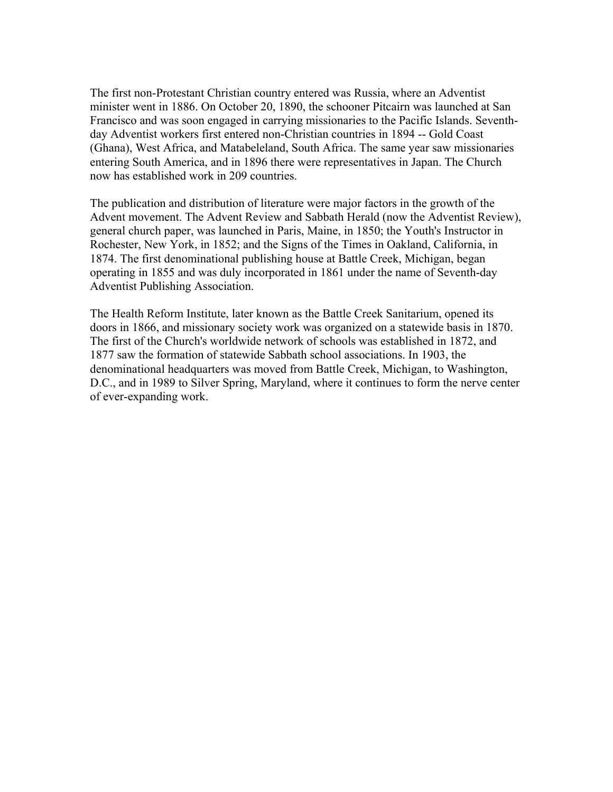The first non-Protestant Christian country entered was Russia, where an Adventist minister went in 1886. On October 20, 1890, the schooner Pitcairn was launched at San Francisco and was soon engaged in carrying missionaries to the Pacific Islands. Seventhday Adventist workers first entered non-Christian countries in 1894 -- Gold Coast (Ghana), West Africa, and Matabeleland, South Africa. The same year saw missionaries entering South America, and in 1896 there were representatives in Japan. The Church now has established work in 209 countries.

The publication and distribution of literature were major factors in the growth of the Advent movement. The Advent Review and Sabbath Herald (now the Adventist Review), general church paper, was launched in Paris, Maine, in 1850; the Youth's Instructor in Rochester, New York, in 1852; and the Signs of the Times in Oakland, California, in 1874. The first denominational publishing house at Battle Creek, Michigan, began operating in 1855 and was duly incorporated in 1861 under the name of Seventh-day Adventist Publishing Association.

The Health Reform Institute, later known as the Battle Creek Sanitarium, opened its doors in 1866, and missionary society work was organized on a statewide basis in 1870. The first of the Church's worldwide network of schools was established in 1872, and 1877 saw the formation of statewide Sabbath school associations. In 1903, the denominational headquarters was moved from Battle Creek, Michigan, to Washington, D.C., and in 1989 to Silver Spring, Maryland, where it continues to form the nerve center of ever-expanding work.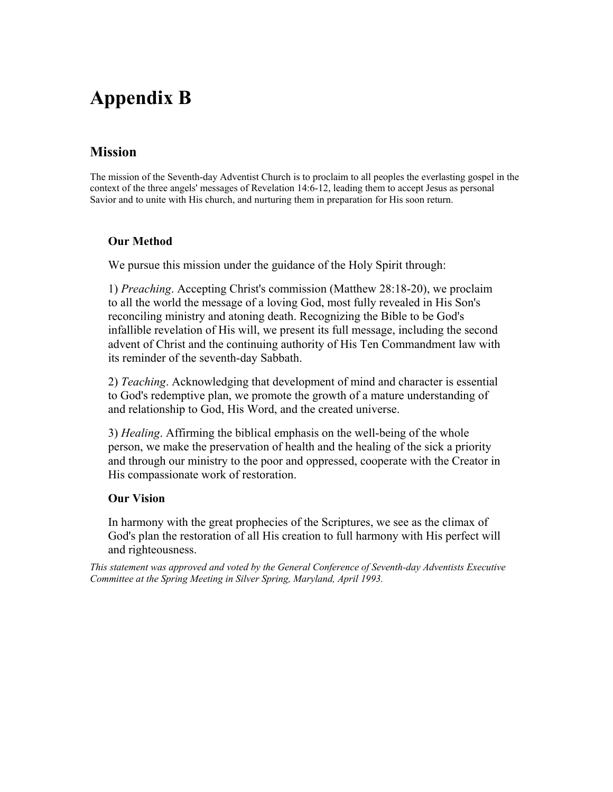# **Appendix B**

### **Mission**

The mission of the Seventh-day Adventist Church is to proclaim to all peoples the everlasting gospel in the context of the three angels' messages of Revelation 14:6-12, leading them to accept Jesus as personal Savior and to unite with His church, and nurturing them in preparation for His soon return.

#### **Our Method**

We pursue this mission under the guidance of the Holy Spirit through:

1) *Preaching*. Accepting Christ's commission (Matthew 28:18-20), we proclaim to all the world the message of a loving God, most fully revealed in His Son's reconciling ministry and atoning death. Recognizing the Bible to be God's infallible revelation of His will, we present its full message, including the second advent of Christ and the continuing authority of His Ten Commandment law with its reminder of the seventh-day Sabbath.

2) *Teaching*. Acknowledging that development of mind and character is essential to God's redemptive plan, we promote the growth of a mature understanding of and relationship to God, His Word, and the created universe.

3) *Healing*. Affirming the biblical emphasis on the well-being of the whole person, we make the preservation of health and the healing of the sick a priority and through our ministry to the poor and oppressed, cooperate with the Creator in His compassionate work of restoration.

#### **Our Vision**

In harmony with the great prophecies of the Scriptures, we see as the climax of God's plan the restoration of all His creation to full harmony with His perfect will and righteousness.

*This statement was approved and voted by the General Conference of Seventh-day Adventists Executive Committee at the Spring Meeting in Silver Spring, Maryland, April 1993.*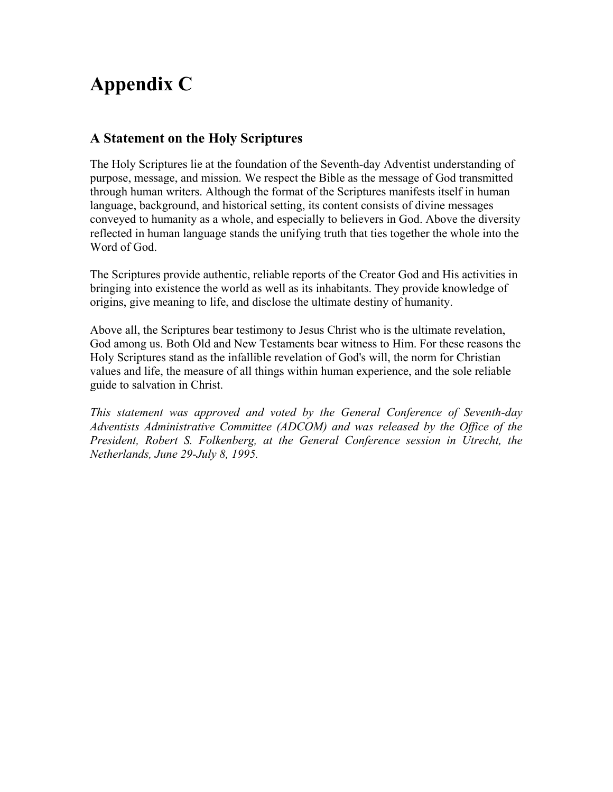# **Appendix C**

### **A Statement on the Holy Scriptures**

The Holy Scriptures lie at the foundation of the Seventh-day Adventist understanding of purpose, message, and mission. We respect the Bible as the message of God transmitted through human writers. Although the format of the Scriptures manifests itself in human language, background, and historical setting, its content consists of divine messages conveyed to humanity as a whole, and especially to believers in God. Above the diversity reflected in human language stands the unifying truth that ties together the whole into the Word of God.

The Scriptures provide authentic, reliable reports of the Creator God and His activities in bringing into existence the world as well as its inhabitants. They provide knowledge of origins, give meaning to life, and disclose the ultimate destiny of humanity.

Above all, the Scriptures bear testimony to Jesus Christ who is the ultimate revelation, God among us. Both Old and New Testaments bear witness to Him. For these reasons the Holy Scriptures stand as the infallible revelation of God's will, the norm for Christian values and life, the measure of all things within human experience, and the sole reliable guide to salvation in Christ.

*This statement was approved and voted by the General Conference of Seventh-day Adventists Administrative Committee (ADCOM) and was released by the Office of the President, Robert S. Folkenberg, at the General Conference session in Utrecht, the Netherlands, June 29-July 8, 1995.*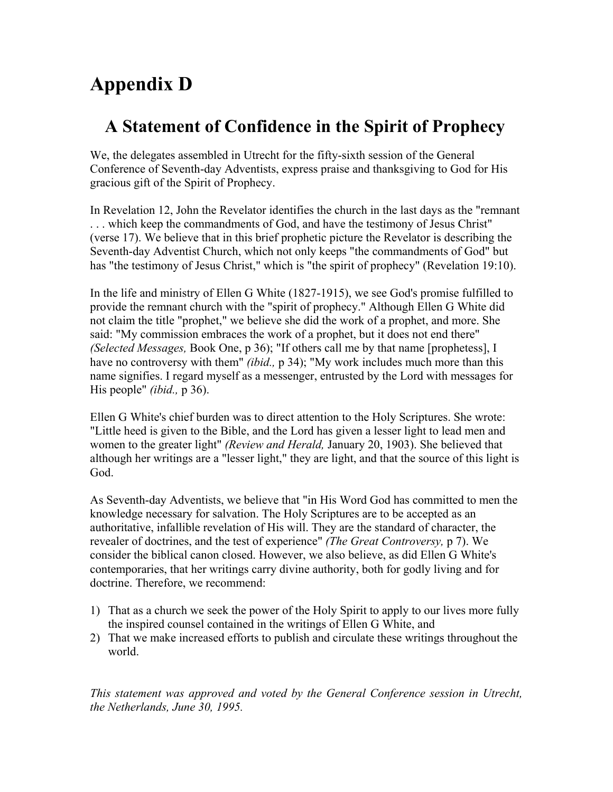# **Appendix D**

# **A Statement of Confidence in the Spirit of Prophecy**

We, the delegates assembled in Utrecht for the fifty-sixth session of the General Conference of Seventh-day Adventists, express praise and thanksgiving to God for His gracious gift of the Spirit of Prophecy.

In Revelation 12, John the Revelator identifies the church in the last days as the "remnant . . . which keep the commandments of God, and have the testimony of Jesus Christ" (verse 17). We believe that in this brief prophetic picture the Revelator is describing the Seventh-day Adventist Church, which not only keeps "the commandments of God" but has "the testimony of Jesus Christ," which is "the spirit of prophecy" (Revelation 19:10).

In the life and ministry of Ellen G White (1827-1915), we see God's promise fulfilled to provide the remnant church with the "spirit of prophecy." Although Ellen G White did not claim the title "prophet," we believe she did the work of a prophet, and more. She said: "My commission embraces the work of a prophet, but it does not end there" *(Selected Messages,* Book One, p 36); "If others call me by that name [prophetess], I have no controversy with them" *(ibid.,* p 34); "My work includes much more than this name signifies. I regard myself as a messenger, entrusted by the Lord with messages for His people" *(ibid.,* p 36).

Ellen G White's chief burden was to direct attention to the Holy Scriptures. She wrote: "Little heed is given to the Bible, and the Lord has given a lesser light to lead men and women to the greater light" *(Review and Herald,* January 20, 1903). She believed that although her writings are a "lesser light," they are light, and that the source of this light is God.

As Seventh-day Adventists, we believe that "in His Word God has committed to men the knowledge necessary for salvation. The Holy Scriptures are to be accepted as an authoritative, infallible revelation of His will. They are the standard of character, the revealer of doctrines, and the test of experience" *(The Great Controversy,* p 7). We consider the biblical canon closed. However, we also believe, as did Ellen G White's contemporaries, that her writings carry divine authority, both for godly living and for doctrine. Therefore, we recommend:

- 1) That as a church we seek the power of the Holy Spirit to apply to our lives more fully the inspired counsel contained in the writings of Ellen G White, and
- 2) That we make increased efforts to publish and circulate these writings throughout the world.

*This statement was approved and voted by the General Conference session in Utrecht, the Netherlands, June 30, 1995.*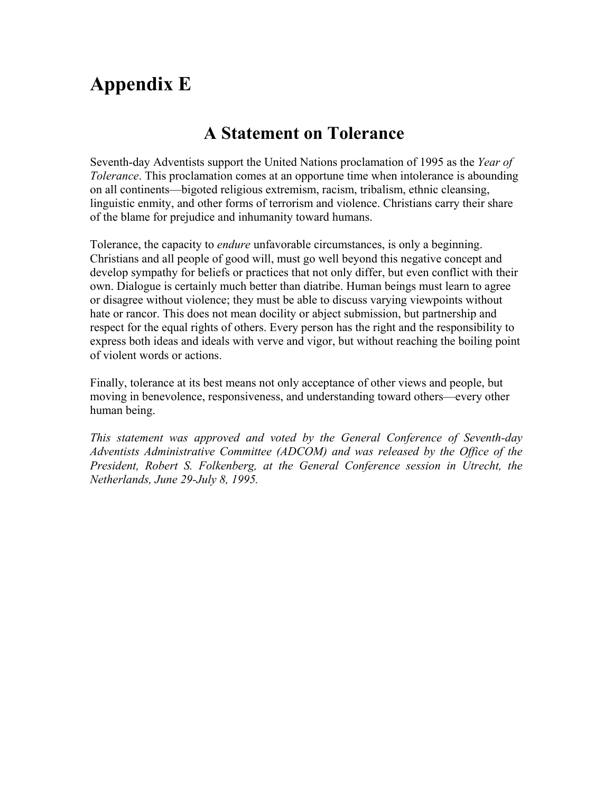# **Appendix E**

## **A Statement on Tolerance**

Seventh-day Adventists support the United Nations proclamation of 1995 as the *Year of Tolerance*. This proclamation comes at an opportune time when intolerance is abounding on all continents—bigoted religious extremism, racism, tribalism, ethnic cleansing, linguistic enmity, and other forms of terrorism and violence. Christians carry their share of the blame for prejudice and inhumanity toward humans.

Tolerance, the capacity to *endure* unfavorable circumstances, is only a beginning. Christians and all people of good will, must go well beyond this negative concept and develop sympathy for beliefs or practices that not only differ, but even conflict with their own. Dialogue is certainly much better than diatribe. Human beings must learn to agree or disagree without violence; they must be able to discuss varying viewpoints without hate or rancor. This does not mean docility or abject submission, but partnership and respect for the equal rights of others. Every person has the right and the responsibility to express both ideas and ideals with verve and vigor, but without reaching the boiling point of violent words or actions.

Finally, tolerance at its best means not only acceptance of other views and people, but moving in benevolence, responsiveness, and understanding toward others—every other human being.

*This statement was approved and voted by the General Conference of Seventh-day Adventists Administrative Committee (ADCOM) and was released by the Office of the President, Robert S. Folkenberg, at the General Conference session in Utrecht, the Netherlands, June 29-July 8, 1995.*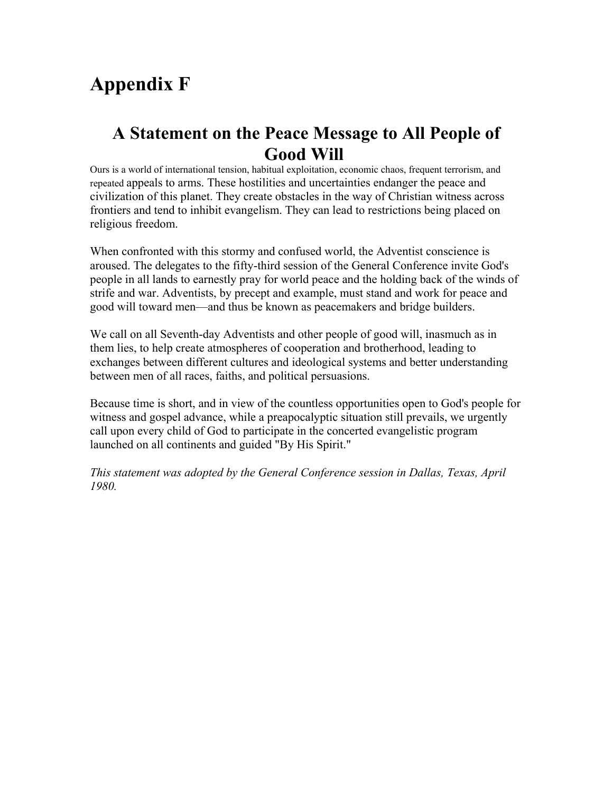# **Appendix F**

## **A Statement on the Peace Message to All People of Good Will**

Ours is a world of international tension, habitual exploitation, economic chaos, frequent terrorism, and repeated appeals to arms. These hostilities and uncertainties endanger the peace and civilization of this planet. They create obstacles in the way of Christian witness across frontiers and tend to inhibit evangelism. They can lead to restrictions being placed on religious freedom.

When confronted with this stormy and confused world, the Adventist conscience is aroused. The delegates to the fifty-third session of the General Conference invite God's people in all lands to earnestly pray for world peace and the holding back of the winds of strife and war. Adventists, by precept and example, must stand and work for peace and good will toward men—and thus be known as peacemakers and bridge builders.

We call on all Seventh-day Adventists and other people of good will, inasmuch as in them lies, to help create atmospheres of cooperation and brotherhood, leading to exchanges between different cultures and ideological systems and better understanding between men of all races, faiths, and political persuasions.

Because time is short, and in view of the countless opportunities open to God's people for witness and gospel advance, while a preapocalyptic situation still prevails, we urgently call upon every child of God to participate in the concerted evangelistic program launched on all continents and guided "By His Spirit."

*This statement was adopted by the General Conference session in Dallas, Texas, April 1980.*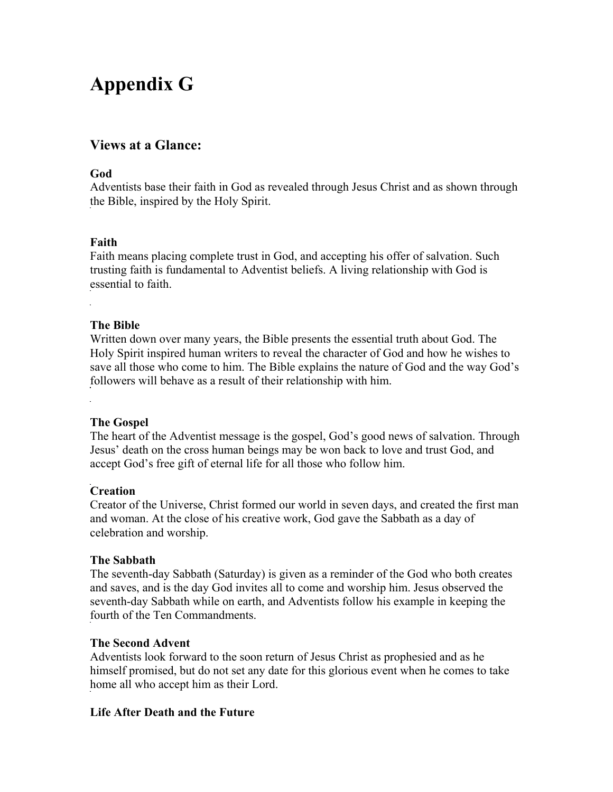# **Appendix G**

### **Views at a Glance:**

#### **God**

Adventists base their faith in God as revealed through Jesus Christ and as shown through the Bible, inspired by the Holy Spirit.

### **Faith**

Faith means placing complete trust in God, and accepting his offer of salvation. Such trusting faith is fundamental to Adventist beliefs. A living relationship with God is essential to faith.

### **The Bible**

Written down over many years, the Bible presents the essential truth about God. The Holy Spirit inspired human writers to reveal the character of God and how he wishes to save all those who come to him. The Bible explains the nature of God and the way God's followers will behave as a result of their relationship with him.

### **The Gospel**

The heart of the Adventist message is the gospel, God's good news of salvation. Through Jesus' death on the cross human beings may be won back to love and trust God, and accept God's free gift of eternal life for all those who follow him.

### **Creation**

Creator of the Universe, Christ formed our world in seven days, and created the first man and woman. At the close of his creative work, God gave the Sabbath as a day of celebration and worship.

### **The Sabbath**

The seventh-day Sabbath (Saturday) is given as a reminder of the God who both creates and saves, and is the day God invites all to come and worship him. Jesus observed the seventh-day Sabbath while on earth, and Adventists follow his example in keeping the fourth of the Ten Commandments.

### **The Second Advent**

Adventists look forward to the soon return of Jesus Christ as prophesied and as he himself promised, but do not set any date for this glorious event when he comes to take home all who accept him as their Lord.

### **Life After Death and the Future**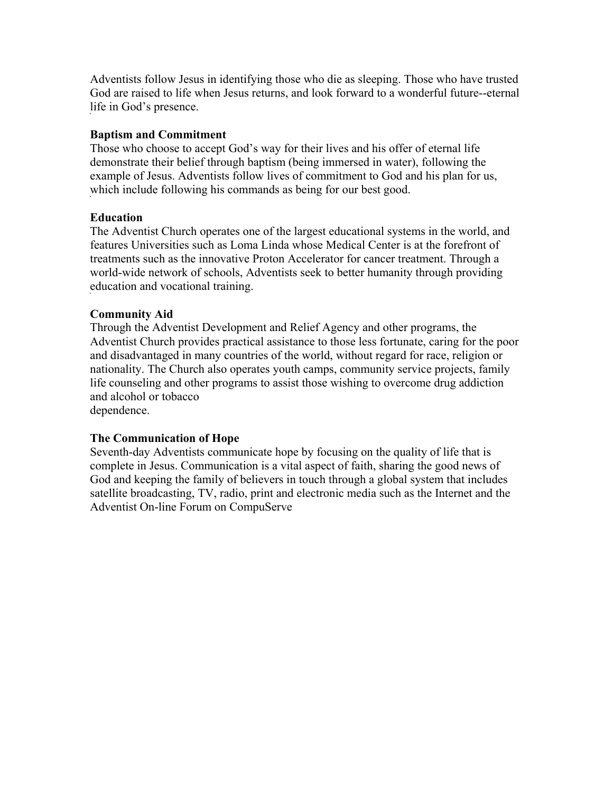Adventists follow Jesus in identifying those who die as sleeping. Those who have trusted God are raised to life when Jesus returns, and look forward to a wonderful future--eternal life in God's presence.

#### **Baptism and Commitment**

Those who choose to accept God's way for their lives and his offer of eternal life demonstrate their belief through baptism (being immersed in water), following the example of Jesus. Adventists follow lives of commitment to God and his plan for us, which include following his commands as being for our best good.

#### **Education**

The Adventist Church operates one of the largest educational systems in the world, and features Universities such as Loma Linda whose Medical Center is at the forefront of treatments such as the innovative Proton Accelerator for cancer treatment. Through a world-wide network of schools, Adventists seek to better humanity through providing education and vocational training.

### **Community Aid**

Through the Adventist Development and Relief Agency and other programs, the Adventist Church provides practical assistance to those less fortunate, caring for the poor and disadvantaged in many countries of the world, without regard for race, religion or nationality. The Church also operates youth camps, community service projects, family life counseling and other programs to assist those wishing to overcome drug addiction and alcohol or tobacco

dependence.

#### **The Communication of Hope**

Seventh-day Adventists communicate hope by focusing on the quality of life that is complete in Jesus. Communication is a vital aspect of faith, sharing the good news of God and keeping the family of believers in touch through a global system that includes satellite broadcasting, TV, radio, print and electronic media such as the Internet and the Adventist On-line Forum on CompuServe